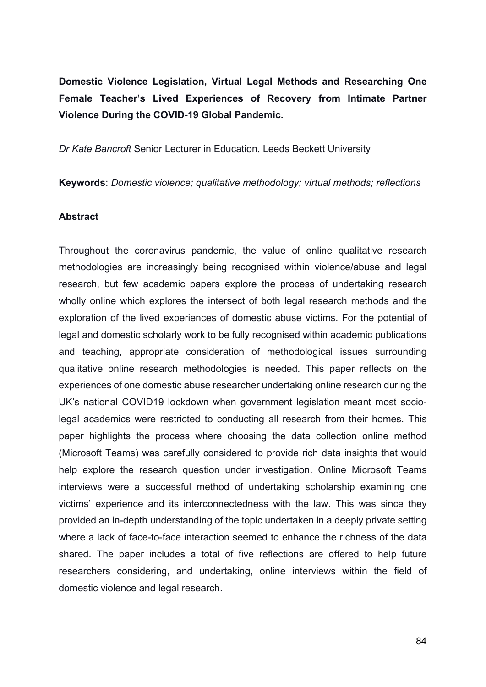**Domestic Violence Legislation, Virtual Legal Methods and Researching One Female Teacher's Lived Experiences of Recovery from Intimate Partner Violence During the COVID-19 Global Pandemic.** 

*Dr Kate Bancroft* Senior Lecturer in Education, Leeds Beckett University

**Keywords**: *Domestic violence; qualitative methodology; virtual methods; reflections*

#### **Abstract**

Throughout the coronavirus pandemic, the value of online qualitative research methodologies are increasingly being recognised within violence/abuse and legal research, but few academic papers explore the process of undertaking research wholly online which explores the intersect of both legal research methods and the exploration of the lived experiences of domestic abuse victims. For the potential of legal and domestic scholarly work to be fully recognised within academic publications and teaching, appropriate consideration of methodological issues surrounding qualitative online research methodologies is needed. This paper reflects on the experiences of one domestic abuse researcher undertaking online research during the UK's national COVID19 lockdown when government legislation meant most sociolegal academics were restricted to conducting all research from their homes. This paper highlights the process where choosing the data collection online method (Microsoft Teams) was carefully considered to provide rich data insights that would help explore the research question under investigation. Online Microsoft Teams interviews were a successful method of undertaking scholarship examining one victims' experience and its interconnectedness with the law. This was since they provided an in-depth understanding of the topic undertaken in a deeply private setting where a lack of face-to-face interaction seemed to enhance the richness of the data shared. The paper includes a total of five reflections are offered to help future researchers considering, and undertaking, online interviews within the field of domestic violence and legal research.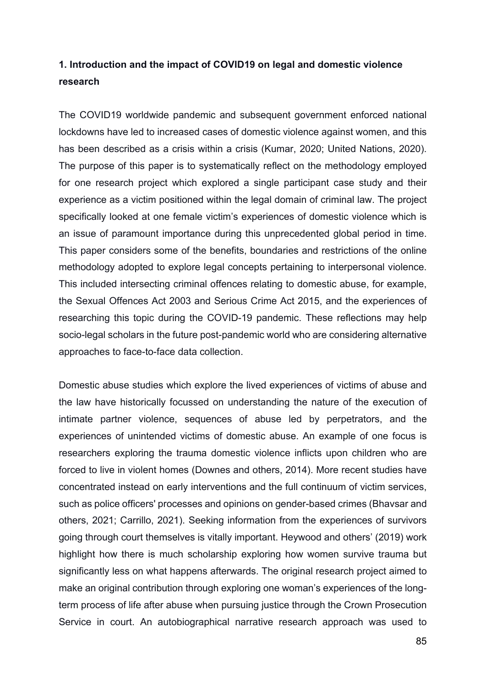## **1. Introduction and the impact of COVID19 on legal and domestic violence research**

The COVID19 worldwide pandemic and subsequent government enforced national lockdowns have led to increased cases of domestic violence against women, and this has been described as a crisis within a crisis (Kumar, 2020; United Nations, 2020). The purpose of this paper is to systematically reflect on the methodology employed for one research project which explored a single participant case study and their experience as a victim positioned within the legal domain of criminal law. The project specifically looked at one female victim's experiences of domestic violence which is an issue of paramount importance during this unprecedented global period in time. This paper considers some of the benefits, boundaries and restrictions of the online methodology adopted to explore legal concepts pertaining to interpersonal violence. This included intersecting criminal offences relating to domestic abuse, for example, the Sexual Offences Act 2003 and Serious Crime Act 2015, and the experiences of researching this topic during the COVID-19 pandemic. These reflections may help socio-legal scholars in the future post-pandemic world who are considering alternative approaches to face-to-face data collection.

Domestic abuse studies which explore the lived experiences of victims of abuse and the law have historically focussed on understanding the nature of the execution of intimate partner violence, sequences of abuse led by perpetrators, and the experiences of unintended victims of domestic abuse. An example of one focus is researchers exploring the trauma domestic violence inflicts upon children who are forced to live in violent homes (Downes and others, 2014). More recent studies have concentrated instead on early interventions and the full continuum of victim services, such as police officers' processes and opinions on gender-based crimes (Bhavsar and others, 2021; Carrillo, 2021). Seeking information from the experiences of survivors going through court themselves is vitally important. Heywood and others' (2019) work highlight how there is much scholarship exploring how women survive trauma but significantly less on what happens afterwards. The original research project aimed to make an original contribution through exploring one woman's experiences of the longterm process of life after abuse when pursuing justice through the Crown Prosecution Service in court. An autobiographical narrative research approach was used to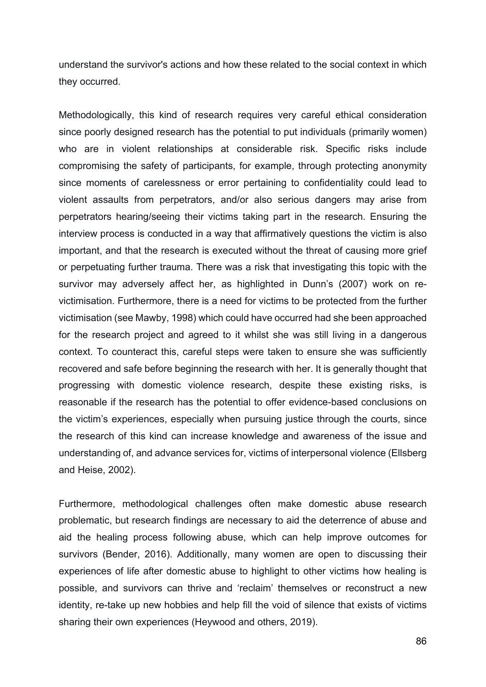understand the survivor's actions and how these related to the social context in which they occurred.

Methodologically, this kind of research requires very careful ethical consideration since poorly designed research has the potential to put individuals (primarily women) who are in violent relationships at considerable risk. Specific risks include compromising the safety of participants, for example, through protecting anonymity since moments of carelessness or error pertaining to confidentiality could lead to violent assaults from perpetrators, and/or also serious dangers may arise from perpetrators hearing/seeing their victims taking part in the research. Ensuring the interview process is conducted in a way that affirmatively questions the victim is also important, and that the research is executed without the threat of causing more grief or perpetuating further trauma. There was a risk that investigating this topic with the survivor may adversely affect her, as highlighted in Dunn's (2007) work on revictimisation. Furthermore, there is a need for victims to be protected from the further victimisation (see Mawby, 1998) which could have occurred had she been approached for the research project and agreed to it whilst she was still living in a dangerous context. To counteract this, careful steps were taken to ensure she was sufficiently recovered and safe before beginning the research with her. It is generally thought that progressing with domestic violence research, despite these existing risks, is reasonable if the research has the potential to offer evidence-based conclusions on the victim's experiences, especially when pursuing justice through the courts, since the research of this kind can increase knowledge and awareness of the issue and understanding of, and advance services for, victims of interpersonal violence (Ellsberg and Heise, 2002).

Furthermore, methodological challenges often make domestic abuse research problematic, but research findings are necessary to aid the deterrence of abuse and aid the healing process following abuse, which can help improve outcomes for survivors (Bender, 2016). Additionally, many women are open to discussing their experiences of life after domestic abuse to highlight to other victims how healing is possible, and survivors can thrive and 'reclaim' themselves or reconstruct a new identity, re-take up new hobbies and help fill the void of silence that exists of victims sharing their own experiences (Heywood and others, 2019).

86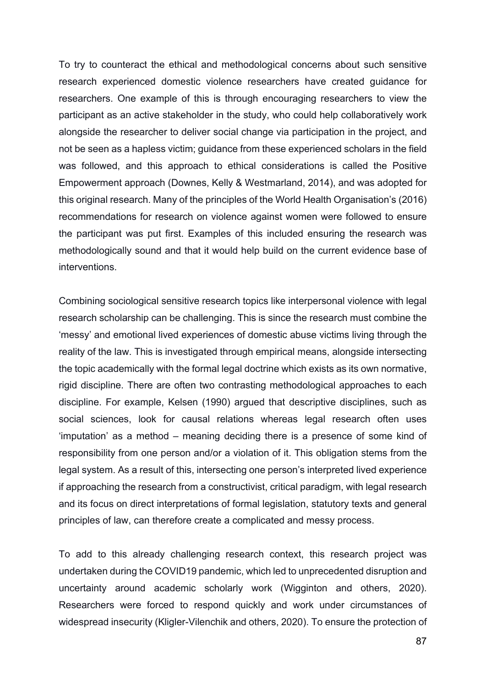To try to counteract the ethical and methodological concerns about such sensitive research experienced domestic violence researchers have created guidance for researchers. One example of this is through encouraging researchers to view the participant as an active stakeholder in the study, who could help collaboratively work alongside the researcher to deliver social change via participation in the project, and not be seen as a hapless victim; guidance from these experienced scholars in the field was followed, and this approach to ethical considerations is called the Positive Empowerment approach (Downes, Kelly & Westmarland, 2014), and was adopted for this original research. Many of the principles of the World Health Organisation's (2016) recommendations for research on violence against women were followed to ensure the participant was put first. Examples of this included ensuring the research was methodologically sound and that it would help build on the current evidence base of interventions.

Combining sociological sensitive research topics like interpersonal violence with legal research scholarship can be challenging. This is since the research must combine the 'messy' and emotional lived experiences of domestic abuse victims living through the reality of the law. This is investigated through empirical means, alongside intersecting the topic academically with the formal legal doctrine which exists as its own normative, rigid discipline. There are often two contrasting methodological approaches to each discipline. For example, Kelsen (1990) argued that descriptive disciplines, such as social sciences, look for causal relations whereas legal research often uses 'imputation' as a method – meaning deciding there is a presence of some kind of responsibility from one person and/or a violation of it. This obligation stems from the legal system. As a result of this, intersecting one person's interpreted lived experience if approaching the research from a constructivist, critical paradigm, with legal research and its focus on direct interpretations of formal legislation, statutory texts and general principles of law, can therefore create a complicated and messy process.

To add to this already challenging research context, this research project was undertaken during the COVID19 pandemic, which led to unprecedented disruption and uncertainty around academic scholarly work (Wigginton and others, 2020). Researchers were forced to respond quickly and work under circumstances of widespread insecurity (Kligler-Vilenchik and others, 2020). To ensure the protection of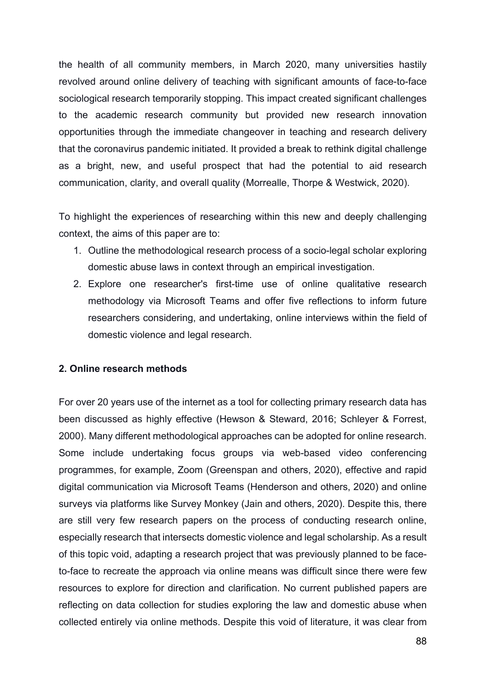the health of all community members, in March 2020, many universities hastily revolved around online delivery of teaching with significant amounts of face-to-face sociological research temporarily stopping. This impact created significant challenges to the academic research community but provided new research innovation opportunities through the immediate changeover in teaching and research delivery that the coronavirus pandemic initiated. It provided a break to rethink digital challenge as a bright, new, and useful prospect that had the potential to aid research communication, clarity, and overall quality (Morrealle, Thorpe & Westwick, 2020).

To highlight the experiences of researching within this new and deeply challenging context, the aims of this paper are to:

- 1. Outline the methodological research process of a socio-legal scholar exploring domestic abuse laws in context through an empirical investigation.
- 2. Explore one researcher's first-time use of online qualitative research methodology via Microsoft Teams and offer five reflections to inform future researchers considering, and undertaking, online interviews within the field of domestic violence and legal research.

### **2. Online research methods**

For over 20 years use of the internet as a tool for collecting primary research data has been discussed as highly effective (Hewson & Steward, 2016; Schleyer & Forrest, 2000). Many different methodological approaches can be adopted for online research. Some include undertaking focus groups via web-based video conferencing programmes, for example, Zoom (Greenspan and others, 2020), effective and rapid digital communication via Microsoft Teams (Henderson and others, 2020) and online surveys via platforms like Survey Monkey (Jain and others, 2020). Despite this, there are still very few research papers on the process of conducting research online, especially research that intersects domestic violence and legal scholarship. As a result of this topic void, adapting a research project that was previously planned to be faceto-face to recreate the approach via online means was difficult since there were few resources to explore for direction and clarification. No current published papers are reflecting on data collection for studies exploring the law and domestic abuse when collected entirely via online methods. Despite this void of literature, it was clear from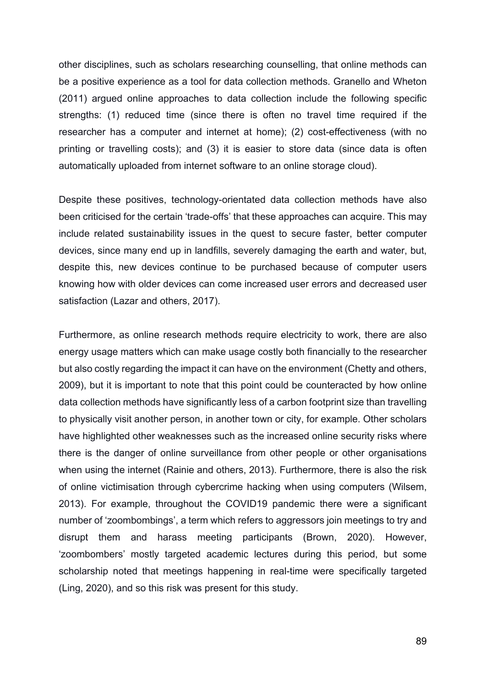other disciplines, such as scholars researching counselling, that online methods can be a positive experience as a tool for data collection methods. Granello and Wheton (2011) argued online approaches to data collection include the following specific strengths: (1) reduced time (since there is often no travel time required if the researcher has a computer and internet at home); (2) cost-effectiveness (with no printing or travelling costs); and (3) it is easier to store data (since data is often automatically uploaded from internet software to an online storage cloud).

Despite these positives, technology-orientated data collection methods have also been criticised for the certain 'trade-offs' that these approaches can acquire. This may include related sustainability issues in the quest to secure faster, better computer devices, since many end up in landfills, severely damaging the earth and water, but, despite this, new devices continue to be purchased because of computer users knowing how with older devices can come increased user errors and decreased user satisfaction (Lazar and others, 2017).

Furthermore, as online research methods require electricity to work, there are also energy usage matters which can make usage costly both financially to the researcher but also costly regarding the impact it can have on the environment (Chetty and others, 2009), but it is important to note that this point could be counteracted by how online data collection methods have significantly less of a carbon footprint size than travelling to physically visit another person, in another town or city, for example. Other scholars have highlighted other weaknesses such as the increased online security risks where there is the danger of online surveillance from other people or other organisations when using the internet (Rainie and others, 2013). Furthermore, there is also the risk of online victimisation through cybercrime hacking when using computers (Wilsem, 2013). For example, throughout the COVID19 pandemic there were a significant number of 'zoombombings', a term which refers to aggressors join meetings to try and disrupt them and harass meeting participants (Brown, 2020). However, 'zoombombers' mostly targeted academic lectures during this period, but some scholarship noted that meetings happening in real-time were specifically targeted (Ling, 2020), and so this risk was present for this study.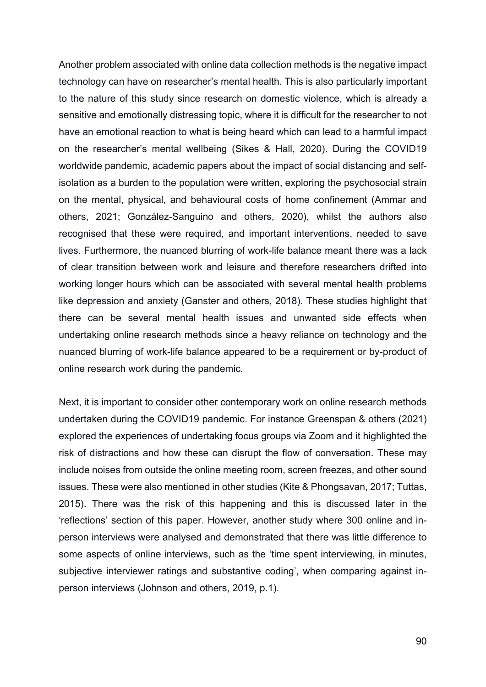Another problem associated with online data collection methods is the negative impact technology can have on researcher's mental health. This is also particularly important to the nature of this study since research on domestic violence, which is already a sensitive and emotionally distressing topic, where it is difficult for the researcher to not have an emotional reaction to what is being heard which can lead to a harmful impact on the researcher's mental wellbeing (Sikes & Hall, 2020). During the COVID19 worldwide pandemic, academic papers about the impact of social distancing and selfisolation as a burden to the population were written, exploring the psychosocial strain on the mental, physical, and behavioural costs of home confinement (Ammar and others, 2021; González-Sanguino and others, 2020), whilst the authors also recognised that these were required, and important interventions, needed to save lives. Furthermore, the nuanced blurring of work-life balance meant there was a lack of clear transition between work and leisure and therefore researchers drifted into working longer hours which can be associated with several mental health problems like depression and anxiety (Ganster and others, 2018). These studies highlight that there can be several mental health issues and unwanted side effects when undertaking online research methods since a heavy reliance on technology and the nuanced blurring of work-life balance appeared to be a requirement or by-product of online research work during the pandemic.

Next, it is important to consider other contemporary work on online research methods undertaken during the COVID19 pandemic. For instance Greenspan & others (2021) explored the experiences of undertaking focus groups via Zoom and it highlighted the risk of distractions and how these can disrupt the flow of conversation. These may include noises from outside the online meeting room, screen freezes, and other sound issues. These were also mentioned in other studies (Kite & Phongsavan, 2017; Tuttas, 2015). There was the risk of this happening and this is discussed later in the 'reflections' section of this paper. However, another study where 300 online and inperson interviews were analysed and demonstrated that there was little difference to some aspects of online interviews, such as the 'time spent interviewing, in minutes, subjective interviewer ratings and substantive coding', when comparing against inperson interviews (Johnson and others, 2019, p.1).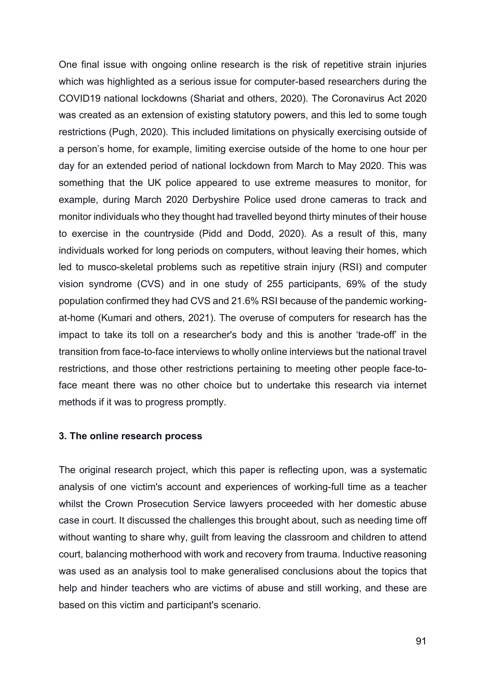One final issue with ongoing online research is the risk of repetitive strain injuries which was highlighted as a serious issue for computer-based researchers during the COVID19 national lockdowns (Shariat and others, 2020). The Coronavirus Act 2020 was created as an extension of existing statutory powers, and this led to some tough restrictions (Pugh, 2020). This included limitations on physically exercising outside of a person's home, for example, limiting exercise outside of the home to one hour per day for an extended period of national lockdown from March to May 2020. This was something that the UK police appeared to use extreme measures to monitor, for example, during March 2020 Derbyshire Police used drone cameras to track and monitor individuals who they thought had travelled beyond thirty minutes of their house to exercise in the countryside (Pidd and Dodd, 2020). As a result of this, many individuals worked for long periods on computers, without leaving their homes, which led to musco-skeletal problems such as repetitive strain injury (RSI) and computer vision syndrome (CVS) and in one study of 255 participants, 69% of the study population confirmed they had CVS and 21.6% RSI because of the pandemic workingat-home (Kumari and others, 2021). The overuse of computers for research has the impact to take its toll on a researcher's body and this is another 'trade-off' in the transition from face-to-face interviews to wholly online interviews but the national travel restrictions, and those other restrictions pertaining to meeting other people face-toface meant there was no other choice but to undertake this research via internet methods if it was to progress promptly.

### **3. The online research process**

The original research project, which this paper is reflecting upon, was a systematic analysis of one victim's account and experiences of working-full time as a teacher whilst the Crown Prosecution Service lawyers proceeded with her domestic abuse case in court. It discussed the challenges this brought about, such as needing time off without wanting to share why, guilt from leaving the classroom and children to attend court, balancing motherhood with work and recovery from trauma. Inductive reasoning was used as an analysis tool to make generalised conclusions about the topics that help and hinder teachers who are victims of abuse and still working, and these are based on this victim and participant's scenario.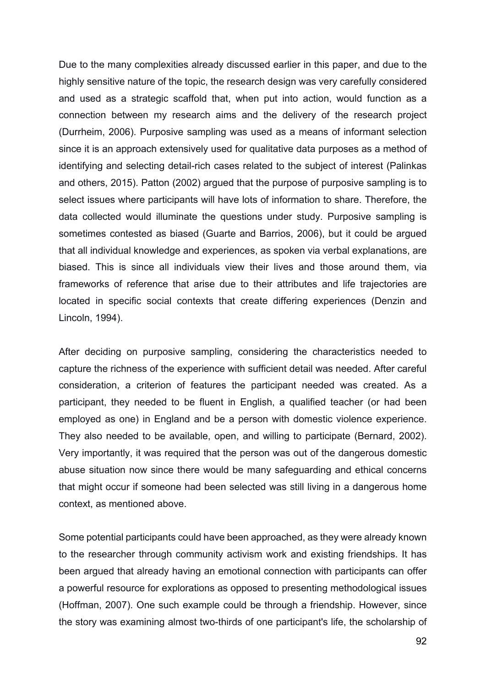Due to the many complexities already discussed earlier in this paper, and due to the highly sensitive nature of the topic, the research design was very carefully considered and used as a strategic scaffold that, when put into action, would function as a connection between my research aims and the delivery of the research project (Durrheim, 2006). Purposive sampling was used as a means of informant selection since it is an approach extensively used for qualitative data purposes as a method of identifying and selecting detail-rich cases related to the subject of interest (Palinkas and others, 2015). Patton (2002) argued that the purpose of purposive sampling is to select issues where participants will have lots of information to share. Therefore, the data collected would illuminate the questions under study. Purposive sampling is sometimes contested as biased (Guarte and Barrios, 2006), but it could be argued that all individual knowledge and experiences, as spoken via verbal explanations, are biased. This is since all individuals view their lives and those around them, via frameworks of reference that arise due to their attributes and life trajectories are located in specific social contexts that create differing experiences (Denzin and Lincoln, 1994).

After deciding on purposive sampling, considering the characteristics needed to capture the richness of the experience with sufficient detail was needed. After careful consideration, a criterion of features the participant needed was created. As a participant, they needed to be fluent in English, a qualified teacher (or had been employed as one) in England and be a person with domestic violence experience. They also needed to be available, open, and willing to participate (Bernard, 2002). Very importantly, it was required that the person was out of the dangerous domestic abuse situation now since there would be many safeguarding and ethical concerns that might occur if someone had been selected was still living in a dangerous home context, as mentioned above.

Some potential participants could have been approached, as they were already known to the researcher through community activism work and existing friendships. It has been argued that already having an emotional connection with participants can offer a powerful resource for explorations as opposed to presenting methodological issues (Hoffman, 2007). One such example could be through a friendship. However, since the story was examining almost two-thirds of one participant's life, the scholarship of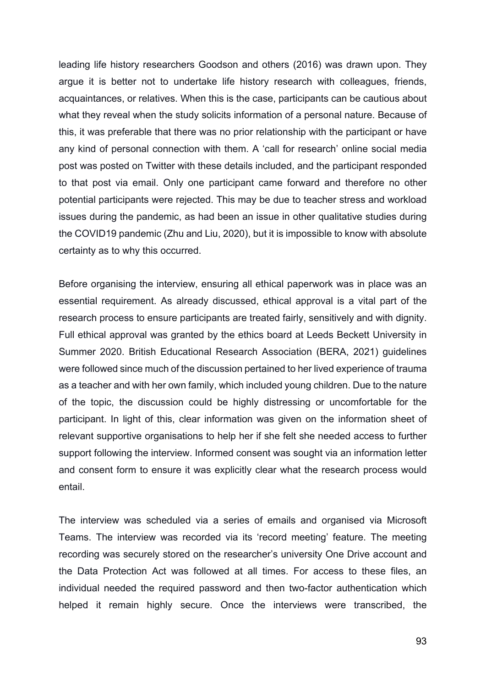leading life history researchers Goodson and others (2016) was drawn upon. They argue it is better not to undertake life history research with colleagues, friends, acquaintances, or relatives. When this is the case, participants can be cautious about what they reveal when the study solicits information of a personal nature. Because of this, it was preferable that there was no prior relationship with the participant or have any kind of personal connection with them. A 'call for research' online social media post was posted on Twitter with these details included, and the participant responded to that post via email. Only one participant came forward and therefore no other potential participants were rejected. This may be due to teacher stress and workload issues during the pandemic, as had been an issue in other qualitative studies during the COVID19 pandemic (Zhu and Liu, 2020), but it is impossible to know with absolute certainty as to why this occurred.

Before organising the interview, ensuring all ethical paperwork was in place was an essential requirement. As already discussed, ethical approval is a vital part of the research process to ensure participants are treated fairly, sensitively and with dignity. Full ethical approval was granted by the ethics board at Leeds Beckett University in Summer 2020. British Educational Research Association (BERA, 2021) guidelines were followed since much of the discussion pertained to her lived experience of trauma as a teacher and with her own family, which included young children. Due to the nature of the topic, the discussion could be highly distressing or uncomfortable for the participant. In light of this, clear information was given on the information sheet of relevant supportive organisations to help her if she felt she needed access to further support following the interview. Informed consent was sought via an information letter and consent form to ensure it was explicitly clear what the research process would entail.

The interview was scheduled via a series of emails and organised via Microsoft Teams. The interview was recorded via its 'record meeting' feature. The meeting recording was securely stored on the researcher's university One Drive account and the Data Protection Act was followed at all times. For access to these files, an individual needed the required password and then two-factor authentication which helped it remain highly secure. Once the interviews were transcribed, the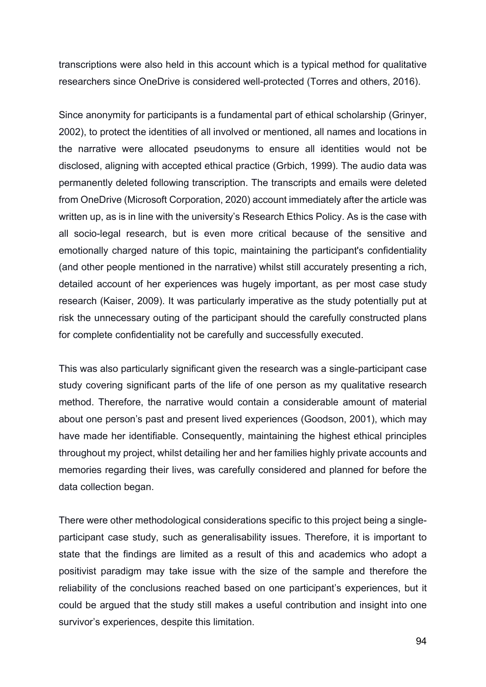transcriptions were also held in this account which is a typical method for qualitative researchers since OneDrive is considered well-protected (Torres and others, 2016).

Since anonymity for participants is a fundamental part of ethical scholarship (Grinyer, 2002), to protect the identities of all involved or mentioned, all names and locations in the narrative were allocated pseudonyms to ensure all identities would not be disclosed, aligning with accepted ethical practice (Grbich, 1999). The audio data was permanently deleted following transcription. The transcripts and emails were deleted from OneDrive (Microsoft Corporation, 2020) account immediately after the article was written up, as is in line with the university's Research Ethics Policy. As is the case with all socio-legal research, but is even more critical because of the sensitive and emotionally charged nature of this topic, maintaining the participant's confidentiality (and other people mentioned in the narrative) whilst still accurately presenting a rich, detailed account of her experiences was hugely important, as per most case study research (Kaiser, 2009). It was particularly imperative as the study potentially put at risk the unnecessary outing of the participant should the carefully constructed plans for complete confidentiality not be carefully and successfully executed.

This was also particularly significant given the research was a single-participant case study covering significant parts of the life of one person as my qualitative research method. Therefore, the narrative would contain a considerable amount of material about one person's past and present lived experiences (Goodson, 2001), which may have made her identifiable. Consequently, maintaining the highest ethical principles throughout my project, whilst detailing her and her families highly private accounts and memories regarding their lives, was carefully considered and planned for before the data collection began.

There were other methodological considerations specific to this project being a singleparticipant case study, such as generalisability issues. Therefore, it is important to state that the findings are limited as a result of this and academics who adopt a positivist paradigm may take issue with the size of the sample and therefore the reliability of the conclusions reached based on one participant's experiences, but it could be argued that the study still makes a useful contribution and insight into one survivor's experiences, despite this limitation.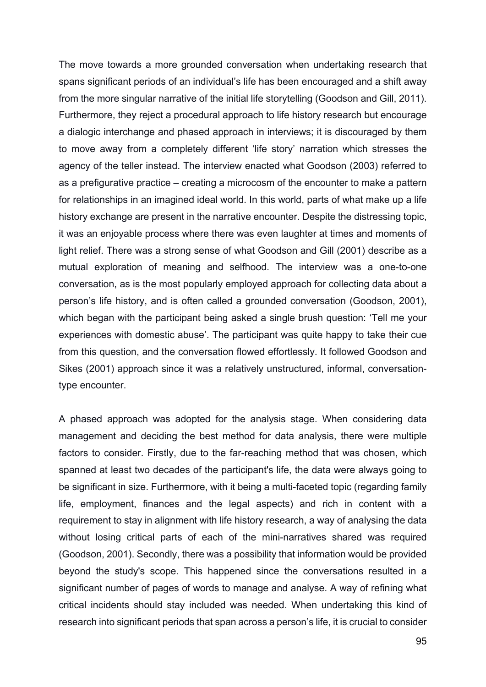The move towards a more grounded conversation when undertaking research that spans significant periods of an individual's life has been encouraged and a shift away from the more singular narrative of the initial life storytelling (Goodson and Gill, 2011). Furthermore, they reject a procedural approach to life history research but encourage a dialogic interchange and phased approach in interviews; it is discouraged by them to move away from a completely different 'life story' narration which stresses the agency of the teller instead. The interview enacted what Goodson (2003) referred to as a prefigurative practice – creating a microcosm of the encounter to make a pattern for relationships in an imagined ideal world. In this world, parts of what make up a life history exchange are present in the narrative encounter. Despite the distressing topic, it was an enjoyable process where there was even laughter at times and moments of light relief. There was a strong sense of what Goodson and Gill (2001) describe as a mutual exploration of meaning and selfhood. The interview was a one-to-one conversation, as is the most popularly employed approach for collecting data about a person's life history, and is often called a grounded conversation (Goodson, 2001), which began with the participant being asked a single brush question: 'Tell me your experiences with domestic abuse'. The participant was quite happy to take their cue from this question, and the conversation flowed effortlessly. It followed Goodson and Sikes (2001) approach since it was a relatively unstructured, informal, conversationtype encounter.

A phased approach was adopted for the analysis stage. When considering data management and deciding the best method for data analysis, there were multiple factors to consider. Firstly, due to the far-reaching method that was chosen, which spanned at least two decades of the participant's life, the data were always going to be significant in size. Furthermore, with it being a multi-faceted topic (regarding family life, employment, finances and the legal aspects) and rich in content with a requirement to stay in alignment with life history research, a way of analysing the data without losing critical parts of each of the mini-narratives shared was required (Goodson, 2001). Secondly, there was a possibility that information would be provided beyond the study's scope. This happened since the conversations resulted in a significant number of pages of words to manage and analyse. A way of refining what critical incidents should stay included was needed. When undertaking this kind of research into significant periods that span across a person's life, it is crucial to consider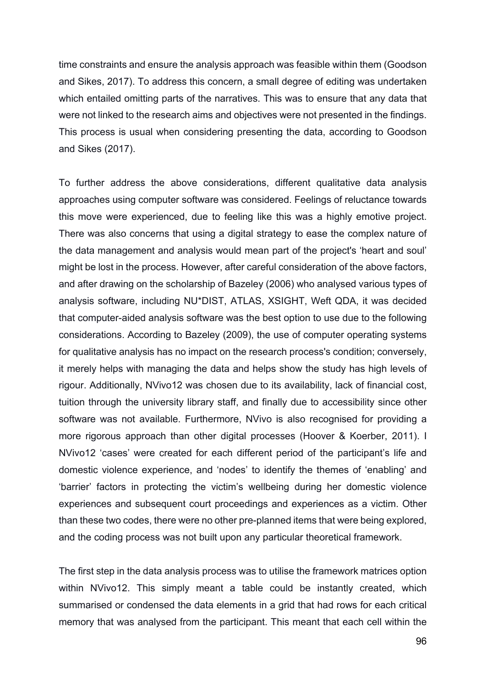time constraints and ensure the analysis approach was feasible within them (Goodson and Sikes, 2017). To address this concern, a small degree of editing was undertaken which entailed omitting parts of the narratives. This was to ensure that any data that were not linked to the research aims and objectives were not presented in the findings. This process is usual when considering presenting the data, according to Goodson and Sikes (2017).

To further address the above considerations, different qualitative data analysis approaches using computer software was considered. Feelings of reluctance towards this move were experienced, due to feeling like this was a highly emotive project. There was also concerns that using a digital strategy to ease the complex nature of the data management and analysis would mean part of the project's 'heart and soul' might be lost in the process. However, after careful consideration of the above factors, and after drawing on the scholarship of Bazeley (2006) who analysed various types of analysis software, including NU\*DIST, ATLAS, XSIGHT, Weft QDA, it was decided that computer-aided analysis software was the best option to use due to the following considerations. According to Bazeley (2009), the use of computer operating systems for qualitative analysis has no impact on the research process's condition; conversely, it merely helps with managing the data and helps show the study has high levels of rigour. Additionally, NVivo12 was chosen due to its availability, lack of financial cost, tuition through the university library staff, and finally due to accessibility since other software was not available. Furthermore, NVivo is also recognised for providing a more rigorous approach than other digital processes (Hoover & Koerber, 2011). I NVivo12 'cases' were created for each different period of the participant's life and domestic violence experience, and 'nodes' to identify the themes of 'enabling' and 'barrier' factors in protecting the victim's wellbeing during her domestic violence experiences and subsequent court proceedings and experiences as a victim. Other than these two codes, there were no other pre-planned items that were being explored, and the coding process was not built upon any particular theoretical framework.

The first step in the data analysis process was to utilise the framework matrices option within NVivo12. This simply meant a table could be instantly created, which summarised or condensed the data elements in a grid that had rows for each critical memory that was analysed from the participant. This meant that each cell within the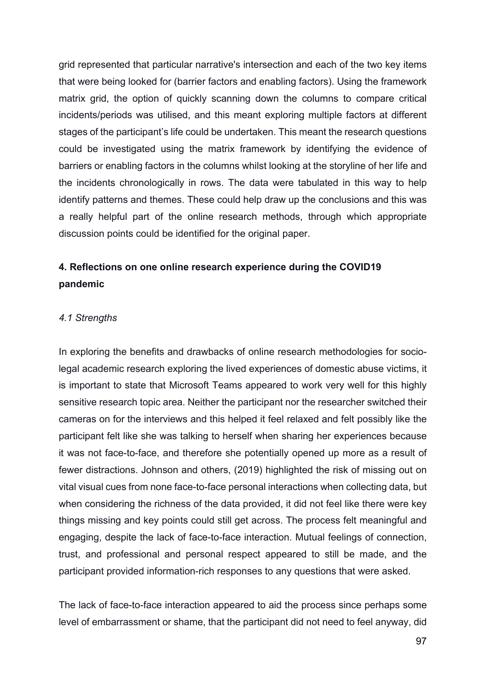grid represented that particular narrative's intersection and each of the two key items that were being looked for (barrier factors and enabling factors). Using the framework matrix grid, the option of quickly scanning down the columns to compare critical incidents/periods was utilised, and this meant exploring multiple factors at different stages of the participant's life could be undertaken. This meant the research questions could be investigated using the matrix framework by identifying the evidence of barriers or enabling factors in the columns whilst looking at the storyline of her life and the incidents chronologically in rows. The data were tabulated in this way to help identify patterns and themes. These could help draw up the conclusions and this was a really helpful part of the online research methods, through which appropriate discussion points could be identified for the original paper.

# **4. Reflections on one online research experience during the COVID19 pandemic**

### *4.1 Strengths*

In exploring the benefits and drawbacks of online research methodologies for sociolegal academic research exploring the lived experiences of domestic abuse victims, it is important to state that Microsoft Teams appeared to work very well for this highly sensitive research topic area. Neither the participant nor the researcher switched their cameras on for the interviews and this helped it feel relaxed and felt possibly like the participant felt like she was talking to herself when sharing her experiences because it was not face-to-face, and therefore she potentially opened up more as a result of fewer distractions. Johnson and others, (2019) highlighted the risk of missing out on vital visual cues from none face-to-face personal interactions when collecting data, but when considering the richness of the data provided, it did not feel like there were key things missing and key points could still get across. The process felt meaningful and engaging, despite the lack of face-to-face interaction. Mutual feelings of connection, trust, and professional and personal respect appeared to still be made, and the participant provided information-rich responses to any questions that were asked.

The lack of face-to-face interaction appeared to aid the process since perhaps some level of embarrassment or shame, that the participant did not need to feel anyway, did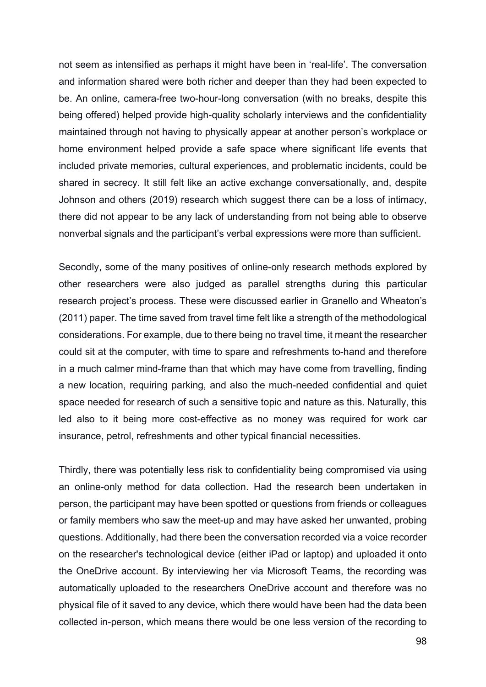not seem as intensified as perhaps it might have been in 'real-life'. The conversation and information shared were both richer and deeper than they had been expected to be. An online, camera-free two-hour-long conversation (with no breaks, despite this being offered) helped provide high-quality scholarly interviews and the confidentiality maintained through not having to physically appear at another person's workplace or home environment helped provide a safe space where significant life events that included private memories, cultural experiences, and problematic incidents, could be shared in secrecy. It still felt like an active exchange conversationally, and, despite Johnson and others (2019) research which suggest there can be a loss of intimacy, there did not appear to be any lack of understanding from not being able to observe nonverbal signals and the participant's verbal expressions were more than sufficient.

Secondly, some of the many positives of online-only research methods explored by other researchers were also judged as parallel strengths during this particular research project's process. These were discussed earlier in Granello and Wheaton's (2011) paper. The time saved from travel time felt like a strength of the methodological considerations. For example, due to there being no travel time, it meant the researcher could sit at the computer, with time to spare and refreshments to-hand and therefore in a much calmer mind-frame than that which may have come from travelling, finding a new location, requiring parking, and also the much-needed confidential and quiet space needed for research of such a sensitive topic and nature as this. Naturally, this led also to it being more cost-effective as no money was required for work car insurance, petrol, refreshments and other typical financial necessities.

Thirdly, there was potentially less risk to confidentiality being compromised via using an online-only method for data collection. Had the research been undertaken in person, the participant may have been spotted or questions from friends or colleagues or family members who saw the meet-up and may have asked her unwanted, probing questions. Additionally, had there been the conversation recorded via a voice recorder on the researcher's technological device (either iPad or laptop) and uploaded it onto the OneDrive account. By interviewing her via Microsoft Teams, the recording was automatically uploaded to the researchers OneDrive account and therefore was no physical file of it saved to any device, which there would have been had the data been collected in-person, which means there would be one less version of the recording to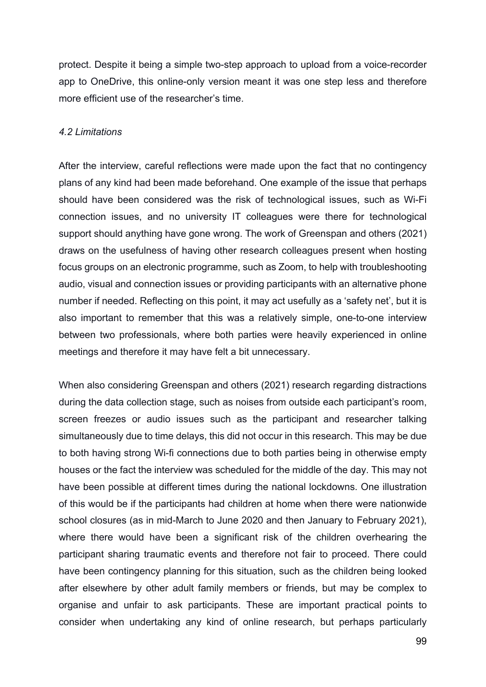protect. Despite it being a simple two-step approach to upload from a voice-recorder app to OneDrive, this online-only version meant it was one step less and therefore more efficient use of the researcher's time.

### *4.2 Limitations*

After the interview, careful reflections were made upon the fact that no contingency plans of any kind had been made beforehand. One example of the issue that perhaps should have been considered was the risk of technological issues, such as Wi-Fi connection issues, and no university IT colleagues were there for technological support should anything have gone wrong. The work of Greenspan and others (2021) draws on the usefulness of having other research colleagues present when hosting focus groups on an electronic programme, such as Zoom, to help with troubleshooting audio, visual and connection issues or providing participants with an alternative phone number if needed. Reflecting on this point, it may act usefully as a 'safety net', but it is also important to remember that this was a relatively simple, one-to-one interview between two professionals, where both parties were heavily experienced in online meetings and therefore it may have felt a bit unnecessary.

When also considering Greenspan and others (2021) research regarding distractions during the data collection stage, such as noises from outside each participant's room, screen freezes or audio issues such as the participant and researcher talking simultaneously due to time delays, this did not occur in this research. This may be due to both having strong Wi-fi connections due to both parties being in otherwise empty houses or the fact the interview was scheduled for the middle of the day. This may not have been possible at different times during the national lockdowns. One illustration of this would be if the participants had children at home when there were nationwide school closures (as in mid-March to June 2020 and then January to February 2021), where there would have been a significant risk of the children overhearing the participant sharing traumatic events and therefore not fair to proceed. There could have been contingency planning for this situation, such as the children being looked after elsewhere by other adult family members or friends, but may be complex to organise and unfair to ask participants. These are important practical points to consider when undertaking any kind of online research, but perhaps particularly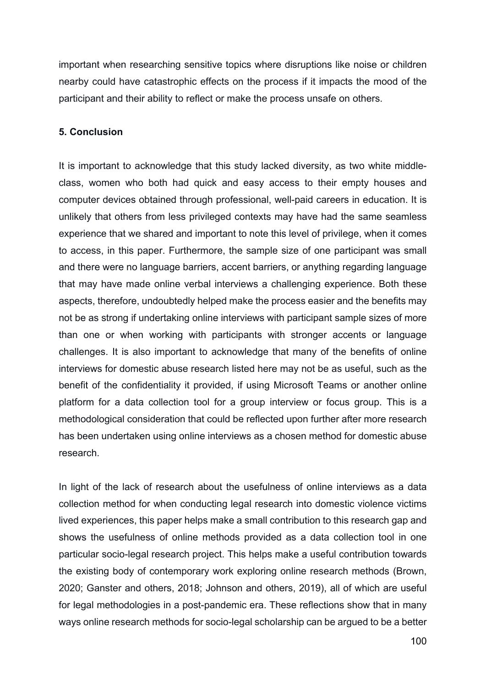important when researching sensitive topics where disruptions like noise or children nearby could have catastrophic effects on the process if it impacts the mood of the participant and their ability to reflect or make the process unsafe on others.

### **5. Conclusion**

It is important to acknowledge that this study lacked diversity, as two white middleclass, women who both had quick and easy access to their empty houses and computer devices obtained through professional, well-paid careers in education. It is unlikely that others from less privileged contexts may have had the same seamless experience that we shared and important to note this level of privilege, when it comes to access, in this paper. Furthermore, the sample size of one participant was small and there were no language barriers, accent barriers, or anything regarding language that may have made online verbal interviews a challenging experience. Both these aspects, therefore, undoubtedly helped make the process easier and the benefits may not be as strong if undertaking online interviews with participant sample sizes of more than one or when working with participants with stronger accents or language challenges. It is also important to acknowledge that many of the benefits of online interviews for domestic abuse research listed here may not be as useful, such as the benefit of the confidentiality it provided, if using Microsoft Teams or another online platform for a data collection tool for a group interview or focus group. This is a methodological consideration that could be reflected upon further after more research has been undertaken using online interviews as a chosen method for domestic abuse research.

In light of the lack of research about the usefulness of online interviews as a data collection method for when conducting legal research into domestic violence victims lived experiences, this paper helps make a small contribution to this research gap and shows the usefulness of online methods provided as a data collection tool in one particular socio-legal research project. This helps make a useful contribution towards the existing body of contemporary work exploring online research methods (Brown, 2020; Ganster and others, 2018; Johnson and others, 2019), all of which are useful for legal methodologies in a post-pandemic era. These reflections show that in many ways online research methods for socio-legal scholarship can be argued to be a better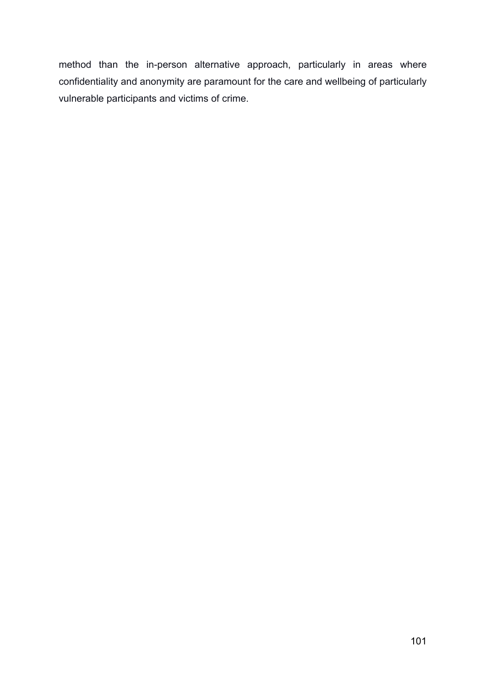method than the in-person alternative approach, particularly in areas where confidentiality and anonymity are paramount for the care and wellbeing of particularly vulnerable participants and victims of crime.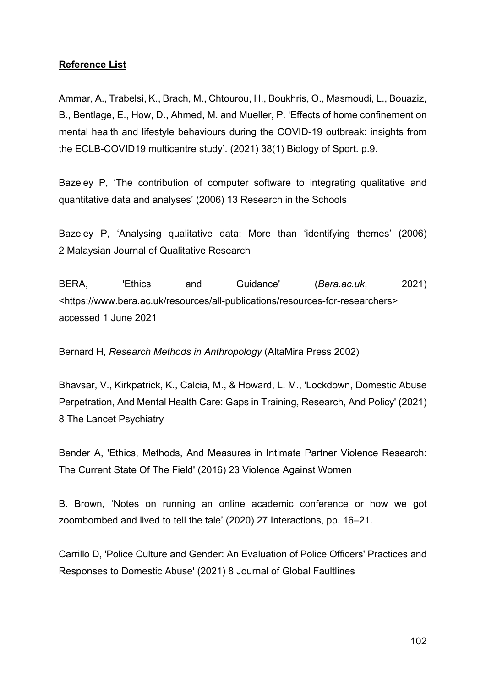## **Reference List**

Ammar, A., Trabelsi, K., Brach, M., Chtourou, H., Boukhris, O., Masmoudi, L., Bouaziz, B., Bentlage, E., How, D., Ahmed, M. and Mueller, P. 'Effects of home confinement on mental health and lifestyle behaviours during the COVID-19 outbreak: insights from the ECLB-COVID19 multicentre study'. (2021) 38(1) Biology of Sport. p.9.

Bazeley P, 'The contribution of computer software to integrating qualitative and quantitative data and analyses' (2006) 13 Research in the Schools

Bazeley P, 'Analysing qualitative data: More than 'identifying themes' (2006) 2 Malaysian Journal of Qualitative Research

BERA, 'Ethics and Guidance' (*Bera.ac.uk*, 2021) <https://www.bera.ac.uk/resources/all-publications/resources-for-researchers> accessed 1 June 2021

Bernard H, *Research Methods in Anthropology* (AltaMira Press 2002)

Bhavsar, V., Kirkpatrick, K., Calcia, M., & Howard, L. M., 'Lockdown, Domestic Abuse Perpetration, And Mental Health Care: Gaps in Training, Research, And Policy' (2021) 8 The Lancet Psychiatry

Bender A, 'Ethics, Methods, And Measures in Intimate Partner Violence Research: The Current State Of The Field' (2016) 23 Violence Against Women

B. Brown, 'Notes on running an online academic conference or how we got zoombombed and lived to tell the tale' (2020) 27 Interactions, pp. 16–21.

Carrillo D, 'Police Culture and Gender: An Evaluation of Police Officers' Practices and Responses to Domestic Abuse' (2021) 8 Journal of Global Faultlines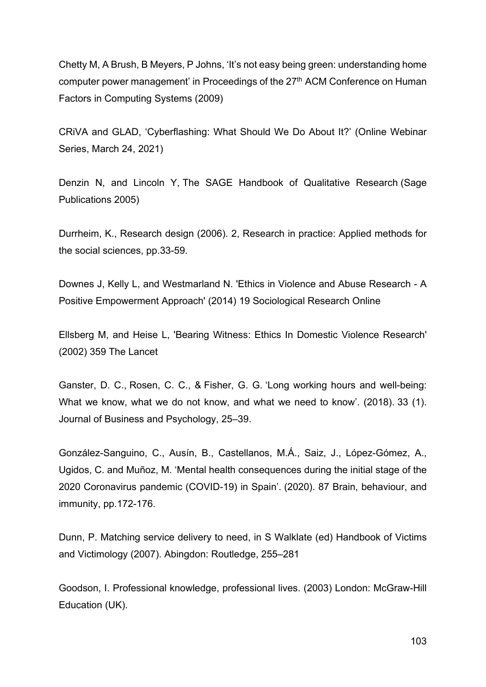Chetty M, A Brush, B Meyers, P Johns, 'It's not easy being green: understanding home computer power management' in Proceedings of the 27<sup>th</sup> ACM Conference on Human Factors in Computing Systems (2009)

CRiVA and GLAD, 'Cyberflashing: What Should We Do About It?' (Online Webinar Series, March 24, 2021)

Denzin N, and Lincoln Y, The SAGE Handbook of Qualitative Research (Sage Publications 2005)

Durrheim, K., Research design (2006). 2, Research in practice: Applied methods for the social sciences, pp.33-59.

Downes J, Kelly L, and Westmarland N. 'Ethics in Violence and Abuse Research - A Positive Empowerment Approach' (2014) 19 Sociological Research Online

Ellsberg M, and Heise L, 'Bearing Witness: Ethics In Domestic Violence Research' (2002) 359 The Lancet

Ganster, D. C., Rosen, C. C., & Fisher, G. G. 'Long working hours and well-being: What we know, what we do not know, and what we need to know'. (2018). 33 (1). Journal of Business and Psychology, 25–39.

González-Sanguino, C., Ausín, B., Castellanos, M.Á., Saiz, J., López-Gómez, A., Ugidos, C. and Muñoz, M. 'Mental health consequences during the initial stage of the 2020 Coronavirus pandemic (COVID-19) in Spain'. (2020). 87 Brain, behaviour, and immunity, pp.172-176.

Dunn, P. Matching service delivery to need, in S Walklate (ed) Handbook of Victims and Victimology (2007). Abingdon: Routledge, 255–281

Goodson, I. Professional knowledge, professional lives. (2003) London: McGraw-Hill Education (UK).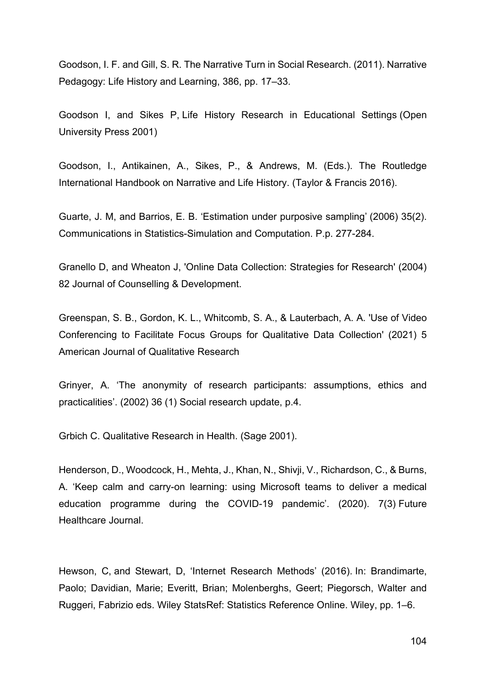Goodson, I. F. and Gill, S. R. The Narrative Turn in Social Research. (2011). Narrative Pedagogy: Life History and Learning, 386, pp. 17–33.

Goodson I, and Sikes P, Life History Research in Educational Settings (Open University Press 2001)

Goodson, I., Antikainen, A., Sikes, P., & Andrews, M. (Eds.). The Routledge International Handbook on Narrative and Life History. (Taylor & Francis 2016).

Guarte, J. M, and Barrios, E. B. 'Estimation under purposive sampling' (2006) 35(2). Communications in Statistics-Simulation and Computation. P.p. 277-284.

Granello D, and Wheaton J, 'Online Data Collection: Strategies for Research' (2004) 82 Journal of Counselling & Development.

Greenspan, S. B., Gordon, K. L., Whitcomb, S. A., & Lauterbach, A. A. 'Use of Video Conferencing to Facilitate Focus Groups for Qualitative Data Collection' (2021) 5 American Journal of Qualitative Research

Grinyer, A. 'The anonymity of research participants: assumptions, ethics and practicalities'. (2002) 36 (1) Social research update, p.4.

Grbich C. Qualitative Research in Health. (Sage 2001).

Henderson, D., Woodcock, H., Mehta, J., Khan, N., Shivji, V., Richardson, C., & Burns, A. 'Keep calm and carry-on learning: using Microsoft teams to deliver a medical education programme during the COVID-19 pandemic'. (2020). 7(3) Future Healthcare Journal.

Hewson, C, and Stewart, D, 'Internet Research Methods' (2016). In: Brandimarte, Paolo; Davidian, Marie; Everitt, Brian; Molenberghs, Geert; Piegorsch, Walter and Ruggeri, Fabrizio eds. Wiley StatsRef: Statistics Reference Online. Wiley, pp. 1–6.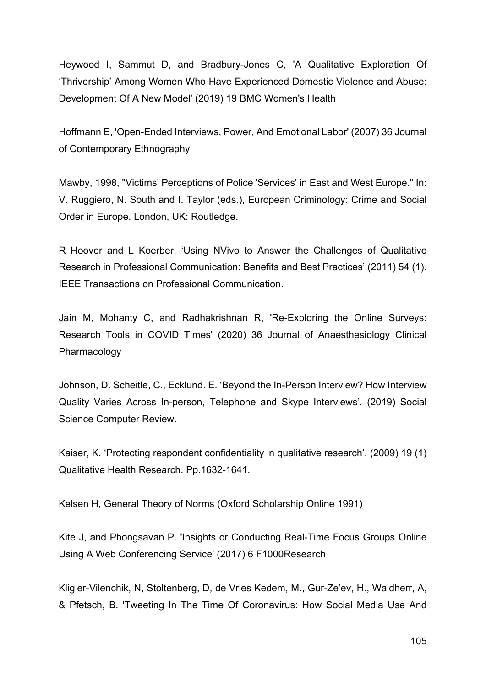Heywood I, Sammut D, and Bradbury-Jones C, 'A Qualitative Exploration Of 'Thrivership' Among Women Who Have Experienced Domestic Violence and Abuse: Development Of A New Model' (2019) 19 BMC Women's Health

Hoffmann E, 'Open-Ended Interviews, Power, And Emotional Labor' (2007) 36 Journal of Contemporary Ethnography

Mawby, 1998, "Victims' Perceptions of Police 'Services' in East and West Europe." In: V. Ruggiero, N. South and I. Taylor (eds.), European Criminology: Crime and Social Order in Europe. London, UK: Routledge.

R Hoover and L Koerber. 'Using NVivo to Answer the Challenges of Qualitative Research in Professional Communication: Benefits and Best Practices' (2011) 54 (1). IEEE Transactions on Professional Communication.

Jain M, Mohanty C, and Radhakrishnan R, 'Re-Exploring the Online Surveys: Research Tools in COVID Times' (2020) 36 Journal of Anaesthesiology Clinical Pharmacology

Johnson, D. Scheitle, C., Ecklund. E. 'Beyond the In-Person Interview? How Interview Quality Varies Across In-person, Telephone and Skype Interviews'. (2019) Social Science Computer Review.

Kaiser, K. 'Protecting respondent confidentiality in qualitative research'. (2009) 19 (1) Qualitative Health Research. Pp.1632-1641.

Kelsen H, General Theory of Norms (Oxford Scholarship Online 1991)

Kite J, and Phongsavan P. 'Insights or Conducting Real-Time Focus Groups Online Using A Web Conferencing Service' (2017) 6 F1000Research

Kligler-Vilenchik, N, Stoltenberg, D, de Vries Kedem, M., Gur-Ze'ev, H., Waldherr, A, & Pfetsch, B. 'Tweeting In The Time Of Coronavirus: How Social Media Use And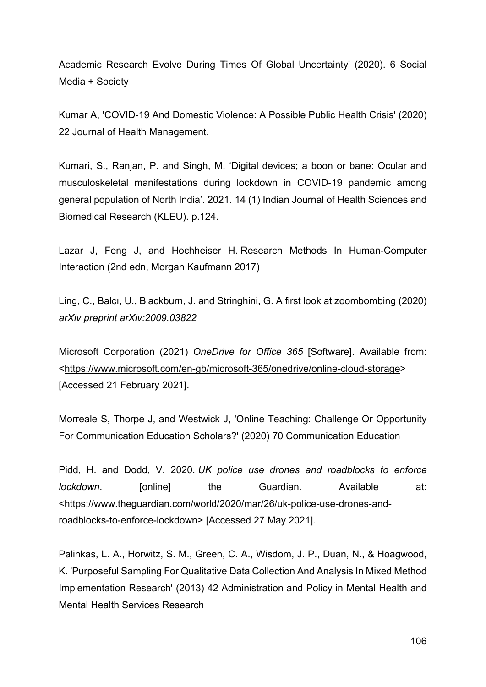Academic Research Evolve During Times Of Global Uncertainty' (2020). 6 Social Media + Society

Kumar A, 'COVID-19 And Domestic Violence: A Possible Public Health Crisis' (2020) 22 Journal of Health Management.

Kumari, S., Ranjan, P. and Singh, M. 'Digital devices; a boon or bane: Ocular and musculoskeletal manifestations during lockdown in COVID-19 pandemic among general population of North India'. 2021. 14 (1) Indian Journal of Health Sciences and Biomedical Research (KLEU). p.124.

Lazar J, Feng J, and Hochheiser H. Research Methods In Human-Computer Interaction (2nd edn, Morgan Kaufmann 2017)

Ling, C., Balcı, U., Blackburn, J. and Stringhini, G. A first look at zoombombing (2020) *arXiv preprint arXiv:2009.03822*

Microsoft Corporation (2021) *OneDrive for Office 365* [Software]. Available from: [<https://www.microsoft.com/en-gb/microsoft-365/onedrive/online-cloud-storage>](https://www.microsoft.com/en-gb/microsoft-365/onedrive/online-cloud-storage) [Accessed 21 February 2021].

Morreale S, Thorpe J, and Westwick J, 'Online Teaching: Challenge Or Opportunity For Communication Education Scholars?' (2020) 70 Communication Education

Pidd, H. and Dodd, V. 2020. *UK police use drones and roadblocks to enforce lockdown*. [online] the Guardian. Available at: <https://www.theguardian.com/world/2020/mar/26/uk-police-use-drones-androadblocks-to-enforce-lockdown> [Accessed 27 May 2021].

Palinkas, L. A., Horwitz, S. M., Green, C. A., Wisdom, J. P., Duan, N., & Hoagwood, K. 'Purposeful Sampling For Qualitative Data Collection And Analysis In Mixed Method Implementation Research' (2013) 42 Administration and Policy in Mental Health and Mental Health Services Research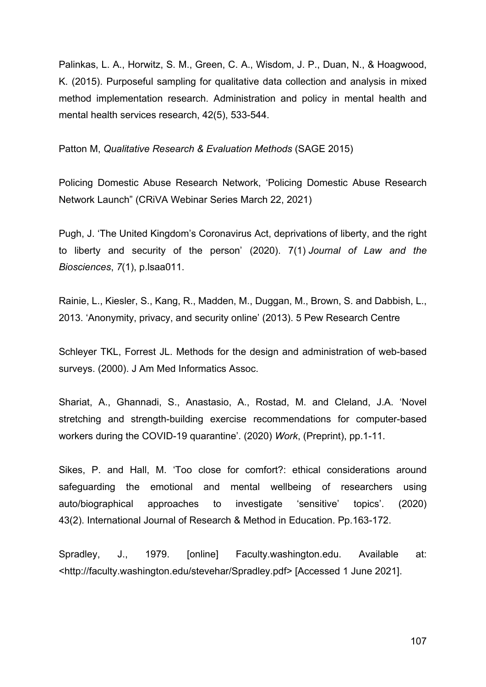Palinkas, L. A., Horwitz, S. M., Green, C. A., Wisdom, J. P., Duan, N., & Hoagwood, K. (2015). Purposeful sampling for qualitative data collection and analysis in mixed method implementation research. Administration and policy in mental health and mental health services research, 42(5), 533-544.

Patton M, *Qualitative Research & Evaluation Methods* (SAGE 2015)

Policing Domestic Abuse Research Network, 'Policing Domestic Abuse Research Network Launch" (CRiVA Webinar Series March 22, 2021)

Pugh, J. 'The United Kingdom's Coronavirus Act, deprivations of liberty, and the right to liberty and security of the person' (2020). 7(1) *Journal of Law and the Biosciences*, *7*(1), p.lsaa011.

Rainie, L., Kiesler, S., Kang, R., Madden, M., Duggan, M., Brown, S. and Dabbish, L., 2013. 'Anonymity, privacy, and security online' (2013). 5 Pew Research Centre

Schleyer TKL, Forrest JL. Methods for the design and administration of web-based surveys. (2000). J Am Med Informatics Assoc.

Shariat, A., Ghannadi, S., Anastasio, A., Rostad, M. and Cleland, J.A. 'Novel stretching and strength-building exercise recommendations for computer-based workers during the COVID-19 quarantine'. (2020) *Work*, (Preprint), pp.1-11.

Sikes, P. and Hall, M. 'Too close for comfort?: ethical considerations around safeguarding the emotional and mental wellbeing of researchers using auto/biographical approaches to investigate 'sensitive' topics'. (2020) 43(2). International Journal of Research & Method in Education. Pp.163-172.

Spradley, J., 1979. [online] Faculty.washington.edu. Available at: <http://faculty.washington.edu/stevehar/Spradley.pdf> [Accessed 1 June 2021].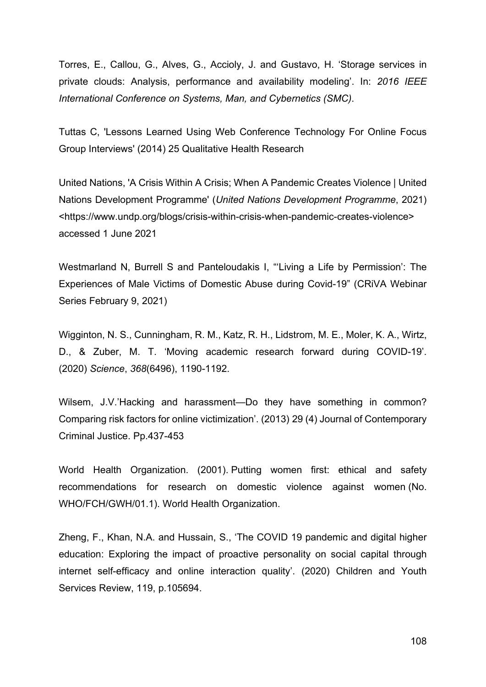Torres, E., Callou, G., Alves, G., Accioly, J. and Gustavo, H. 'Storage services in private clouds: Analysis, performance and availability modeling'. In: *2016 IEEE International Conference on Systems, Man, and Cybernetics (SMC)*.

Tuttas C, 'Lessons Learned Using Web Conference Technology For Online Focus Group Interviews' (2014) 25 Qualitative Health Research

United Nations, 'A Crisis Within A Crisis; When A Pandemic Creates Violence | United Nations Development Programme' (*United Nations Development Programme*, 2021) <https://www.undp.org/blogs/crisis-within-crisis-when-pandemic-creates-violence> accessed 1 June 2021

Westmarland N, Burrell S and Panteloudakis I, "'Living a Life by Permission': The Experiences of Male Victims of Domestic Abuse during Covid-19" (CRiVA Webinar Series February 9, 2021)

Wigginton, N. S., Cunningham, R. M., Katz, R. H., Lidstrom, M. E., Moler, K. A., Wirtz, D., & Zuber, M. T. 'Moving academic research forward during COVID-19'. (2020) *Science*, *368*(6496), 1190-1192.

Wilsem, J.V.'Hacking and harassment—Do they have something in common? Comparing risk factors for online victimization'. (2013) 29 (4) Journal of Contemporary Criminal Justice. Pp.437-453

World Health Organization. (2001). Putting women first: ethical and safety recommendations for research on domestic violence against women (No. WHO/FCH/GWH/01.1). World Health Organization.

Zheng, F., Khan, N.A. and Hussain, S., 'The COVID 19 pandemic and digital higher education: Exploring the impact of proactive personality on social capital through internet self-efficacy and online interaction quality'. (2020) Children and Youth Services Review, 119, p.105694.